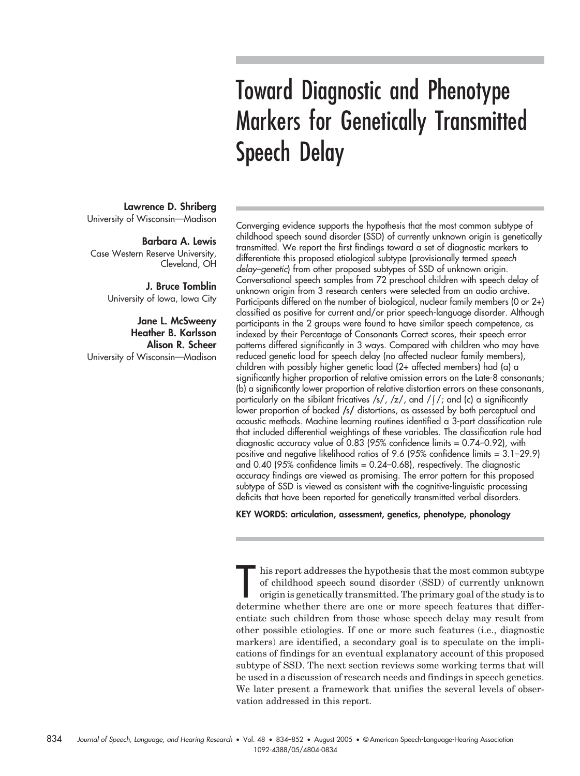# Toward Diagnostic and Phenotype Markers for Genetically Transmitted Speech Delay

Converging evidence supports the hypothesis that the most common subtype of childhood speech sound disorder (SSD) of currently unknown origin is genetically transmitted. We report the first findings toward a set of diagnostic markers to differentiate this proposed etiological subtype (provisionally termed speech delay–genetic) from other proposed subtypes of SSD of unknown origin. Conversational speech samples from 72 preschool children with speech delay of unknown origin from 3 research centers were selected from an audio archive. Participants differed on the number of biological, nuclear family members (0 or 2+) classified as positive for current and/or prior speech-language disorder. Although participants in the 2 groups were found to have similar speech competence, as indexed by their Percentage of Consonants Correct scores, their speech error patterns differed significantly in 3 ways. Compared with children who may have reduced genetic load for speech delay (no affected nuclear family members), children with possibly higher genetic load (2+ affected members) had (a) a significantly higher proportion of relative omission errors on the Late-8 consonants; (b) a significantly lower proportion of relative distortion errors on these consonants, particularly on the sibilant fricatives /s/, /z/, and / $\frac{1}{2}$  and  $\frac{1}{2}$  a significantly lower proportion of backed /s/ distortions, as assessed by both perceptual and acoustic methods. Machine learning routines identified a 3-part classification rule that included differential weightings of these variables. The classification rule had diagnostic accuracy value of 0.83 (95% confidence limits = 0.74–0.92), with positive and negative likelihood ratios of 9.6 (95% confidence limits = 3.1–29.9) and  $0.40$  (95% confidence limits  $= 0.24 - 0.68$ ), respectively. The diagnostic accuracy findings are viewed as promising. The error pattern for this proposed subtype of SSD is viewed as consistent with the cognitive-linguistic processing deficits that have been reported for genetically transmitted verbal disorders.

KEY WORDS: articulation, assessment, genetics, phenotype, phonology

his report addresses the hypothesis that the most common subtype<br>of childhood speech sound disorder (SSD) of currently unknown<br>origin is genetically transmitted. The primary goal of the study is to<br>determine whether there of childhood speech sound disorder (SSD) of currently unknown origin is genetically transmitted. The primary goal of the study is to determine whether there are one or more speech features that differentiate such children from those whose speech delay may result from other possible etiologies. If one or more such features (i.e., diagnostic markers) are identified, a secondary goal is to speculate on the implications of findings for an eventual explanatory account of this proposed subtype of SSD. The next section reviews some working terms that will be used in a discussion of research needs and findings in speech genetics. We later present a framework that unifies the several levels of observation addressed in this report.

Lawrence D. Shriberg University of Wisconsin—Madison

#### Barbara A. Lewis

Case Western Reserve University, Cleveland, OH

> J. Bruce Tomblin University of Iowa, Iowa City

Jane L. McSweeny Heather B. Karlsson Alison R. Scheer University of Wisconsin—Madison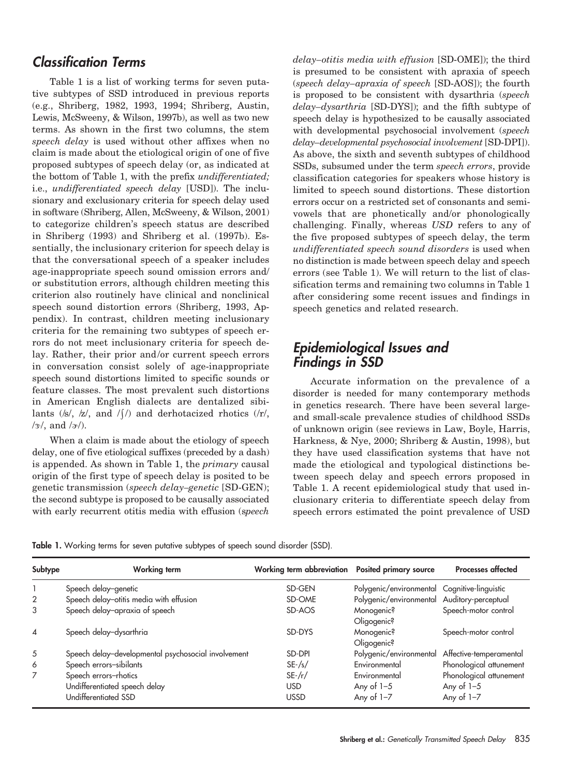#### Classification Terms

Table 1 is a list of working terms for seven putative subtypes of SSD introduced in previous reports (e.g., Shriberg, 1982, 1993, 1994; Shriberg, Austin, Lewis, McSweeny, & Wilson, 1997b), as well as two new terms. As shown in the first two columns, the stem speech delay is used without other affixes when no claim is made about the etiological origin of one of five proposed subtypes of speech delay (or, as indicated at the bottom of Table 1, with the prefix undifferentiated; i.e., undifferentiated speech delay [USD]). The inclusionary and exclusionary criteria for speech delay used in software (Shriberg, Allen, McSweeny, & Wilson, 2001) to categorize children's speech status are described in Shriberg (1993) and Shriberg et al. (1997b). Essentially, the inclusionary criterion for speech delay is that the conversational speech of a speaker includes age-inappropriate speech sound omission errors and/ or substitution errors, although children meeting this criterion also routinely have clinical and nonclinical speech sound distortion errors (Shriberg, 1993, Appendix). In contrast, children meeting inclusionary criteria for the remaining two subtypes of speech errors do not meet inclusionary criteria for speech delay. Rather, their prior and/or current speech errors in conversation consist solely of age-inappropriate speech sound distortions limited to specific sounds or feature classes. The most prevalent such distortions in American English dialects are dentalized sibilants  $(\frac{s}{r}, \frac{z}{r})$ , and  $(\frac{s}{r})$  and derhotacized rhotics  $(\frac{r}{r})$ ,  $/3/$ , and  $/3/$ ).

When a claim is made about the etiology of speech delay, one of five etiological suffixes (preceded by a dash) is appended. As shown in Table 1, the primary causal origin of the first type of speech delay is posited to be genetic transmission (speech delay–genetic [SD-GEN); the second subtype is proposed to be causally associated with early recurrent otitis media with effusion (speech

delay–otitis media with effusion [SD-OME]); the third is presumed to be consistent with apraxia of speech (speech delay–apraxia of speech [SD-AOS]); the fourth is proposed to be consistent with dysarthria (speech delay–dysarthria [SD-DYS]); and the fifth subtype of speech delay is hypothesized to be causally associated with developmental psychosocial involvement (speech delay–developmental psychosocial involvement [SD-DPI]). As above, the sixth and seventh subtypes of childhood SSDs, subsumed under the term speech errors, provide classification categories for speakers whose history is limited to speech sound distortions. These distortion errors occur on a restricted set of consonants and semivowels that are phonetically and/or phonologically challenging. Finally, whereas USD refers to any of the five proposed subtypes of speech delay, the term undifferentiated speech sound disorders is used when no distinction is made between speech delay and speech errors (see Table 1). We will return to the list of classification terms and remaining two columns in Table 1 after considering some recent issues and findings in speech genetics and related research.

### Epidemiological Issues and Findings in SSD

Accurate information on the prevalence of a disorder is needed for many contemporary methods in genetics research. There have been several largeand small-scale prevalence studies of childhood SSDs of unknown origin (see reviews in Law, Boyle, Harris, Harkness, & Nye, 2000; Shriberg & Austin, 1998), but they have used classification systems that have not made the etiological and typological distinctions between speech delay and speech errors proposed in Table 1. A recent epidemiological study that used inclusionary criteria to differentiate speech delay from speech errors estimated the point prevalence of USD

Table 1. Working terms for seven putative subtypes of speech sound disorder (SSD).

| Subtype | Working term                                        | Working term abbreviation  Posited primary source |                                              | <b>Processes affected</b> |
|---------|-----------------------------------------------------|---------------------------------------------------|----------------------------------------------|---------------------------|
|         | Speech delay-genetic                                | SD-GEN                                            | Polygenic/environmental Cognitive-linguistic |                           |
| 2       | Speech delay-otitis media with effusion             | SD-OME                                            | Polygenic/environmental Auditory-perceptual  |                           |
| 3       | Speech delay-apraxia of speech                      | SD-AOS                                            | Monogenic?<br>Oligogenic?                    | Speech-motor control      |
| 4       | Speech delay-dysarthria                             | SD-DYS                                            | Monogenic?<br>Oligogenic?                    | Speech-motor control      |
| 5       | Speech delay-developmental psychosocial involvement | SD-DPI                                            | Polygenic/environmental                      | Affective-temperamental   |
| 6       | Speech errors-sibilants                             | $SE$ -/s/                                         | Environmental                                | Phonological attunement   |
| 7       | Speech errors-rhotics                               | $SE-fr/$                                          | Environmental                                | Phonological attunement   |
|         | Undifferentiated speech delay                       | <b>USD</b>                                        | Any of $1-5$                                 | Any of $1-5$              |
|         | Undifferentiated SSD                                | <b>USSD</b>                                       | Any of 1-7                                   | Any of $1-7$              |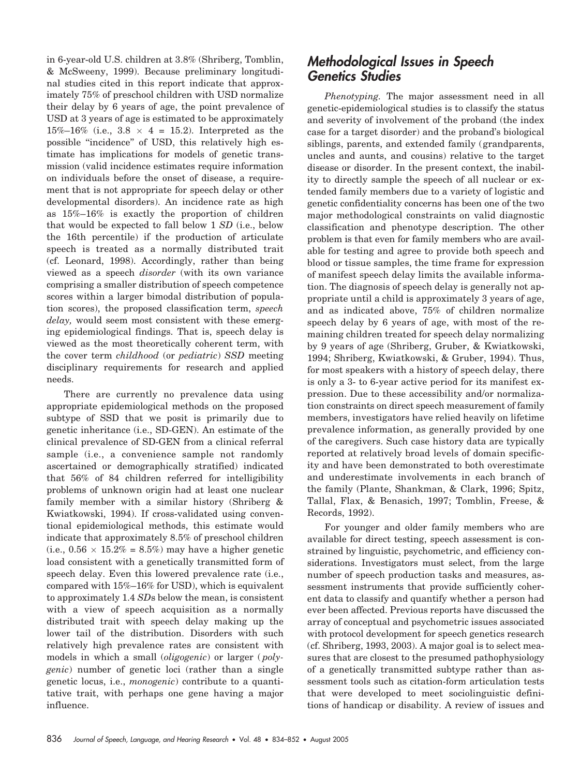in 6-year-old U.S. children at 3.8% (Shriberg, Tomblin, & McSweeny, 1999). Because preliminary longitudinal studies cited in this report indicate that approximately 75% of preschool children with USD normalize their delay by 6 years of age, the point prevalence of USD at 3 years of age is estimated to be approximately  $15\% - 16\%$  (i.e.,  $3.8 \times 4 = 15.2$ ). Interpreted as the possible ''incidence'' of USD, this relatively high estimate has implications for models of genetic transmission (valid incidence estimates require information on individuals before the onset of disease, a requirement that is not appropriate for speech delay or other developmental disorders). An incidence rate as high as 15%–16% is exactly the proportion of children that would be expected to fall below 1 SD (i.e., below the 16th percentile) if the production of articulate speech is treated as a normally distributed trait (cf. Leonard, 1998). Accordingly, rather than being viewed as a speech disorder (with its own variance comprising a smaller distribution of speech competence scores within a larger bimodal distribution of population scores), the proposed classification term, speech delay, would seem most consistent with these emerging epidemiological findings. That is, speech delay is viewed as the most theoretically coherent term, with the cover term childhood (or pediatric) SSD meeting disciplinary requirements for research and applied needs.

There are currently no prevalence data using appropriate epidemiological methods on the proposed subtype of SSD that we posit is primarily due to genetic inheritance (i.e., SD-GEN). An estimate of the clinical prevalence of SD-GEN from a clinical referral sample (i.e., a convenience sample not randomly ascertained or demographically stratified) indicated that 56% of 84 children referred for intelligibility problems of unknown origin had at least one nuclear family member with a similar history (Shriberg & Kwiatkowski, 1994). If cross-validated using conventional epidemiological methods, this estimate would indicate that approximately 8.5% of preschool children (i.e.,  $0.56 \times 15.2\% = 8.5\%$ ) may have a higher genetic load consistent with a genetically transmitted form of speech delay. Even this lowered prevalence rate (i.e., compared with 15%–16% for USD), which is equivalent to approximately 1.4 SDs below the mean, is consistent with a view of speech acquisition as a normally distributed trait with speech delay making up the lower tail of the distribution. Disorders with such relatively high prevalence rates are consistent with models in which a small *(oligogenic)* or larger (*poly*genic) number of genetic loci (rather than a single genetic locus, i.e., monogenic) contribute to a quantitative trait, with perhaps one gene having a major influence.

#### Methodological Issues in Speech Genetics Studies

Phenotyping. The major assessment need in all genetic-epidemiological studies is to classify the status and severity of involvement of the proband (the index case for a target disorder) and the proband's biological siblings, parents, and extended family (grandparents, uncles and aunts, and cousins) relative to the target disease or disorder. In the present context, the inability to directly sample the speech of all nuclear or extended family members due to a variety of logistic and genetic confidentiality concerns has been one of the two major methodological constraints on valid diagnostic classification and phenotype description. The other problem is that even for family members who are available for testing and agree to provide both speech and blood or tissue samples, the time frame for expression of manifest speech delay limits the available information. The diagnosis of speech delay is generally not appropriate until a child is approximately 3 years of age, and as indicated above, 75% of children normalize speech delay by 6 years of age, with most of the remaining children treated for speech delay normalizing by 9 years of age (Shriberg, Gruber, & Kwiatkowski, 1994; Shriberg, Kwiatkowski, & Gruber, 1994). Thus, for most speakers with a history of speech delay, there is only a 3- to 6-year active period for its manifest expression. Due to these accessibility and/or normalization constraints on direct speech measurement of family members, investigators have relied heavily on lifetime prevalence information, as generally provided by one of the caregivers. Such case history data are typically reported at relatively broad levels of domain specificity and have been demonstrated to both overestimate and underestimate involvements in each branch of the family (Plante, Shankman, & Clark, 1996; Spitz, Tallal, Flax, & Benasich, 1997; Tomblin, Freese, & Records, 1992).

For younger and older family members who are available for direct testing, speech assessment is constrained by linguistic, psychometric, and efficiency considerations. Investigators must select, from the large number of speech production tasks and measures, assessment instruments that provide sufficiently coherent data to classify and quantify whether a person had ever been affected. Previous reports have discussed the array of conceptual and psychometric issues associated with protocol development for speech genetics research (cf. Shriberg, 1993, 2003). A major goal is to select measures that are closest to the presumed pathophysiology of a genetically transmitted subtype rather than assessment tools such as citation-form articulation tests that were developed to meet sociolinguistic definitions of handicap or disability. A review of issues and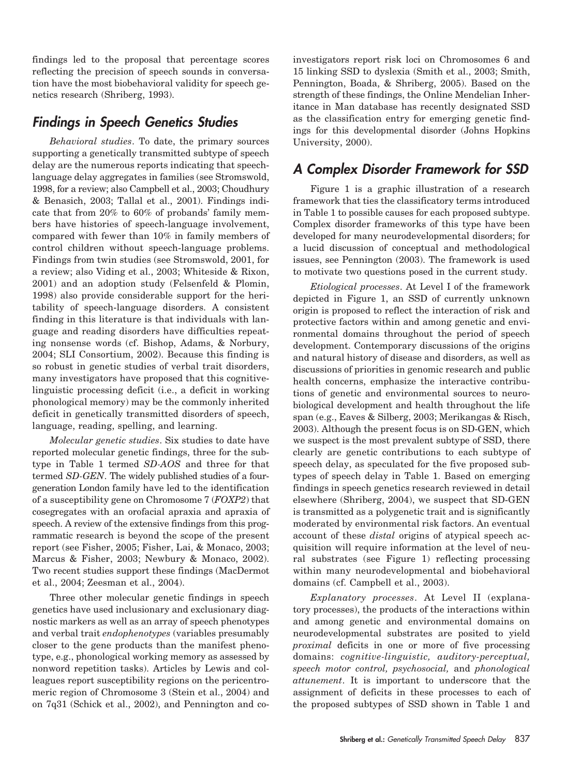findings led to the proposal that percentage scores reflecting the precision of speech sounds in conversation have the most biobehavioral validity for speech genetics research (Shriberg, 1993).

#### Findings in Speech Genetics Studies

Behavioral studies. To date, the primary sources supporting a genetically transmitted subtype of speech delay are the numerous reports indicating that speechlanguage delay aggregates in families (see Stromswold, 1998, for a review; also Campbell et al., 2003; Choudhury & Benasich, 2003; Tallal et al., 2001). Findings indicate that from 20% to 60% of probands' family members have histories of speech-language involvement, compared with fewer than 10% in family members of control children without speech-language problems. Findings from twin studies (see Stromswold, 2001, for a review; also Viding et al., 2003; Whiteside & Rixon, 2001) and an adoption study (Felsenfeld & Plomin, 1998) also provide considerable support for the heritability of speech-language disorders. A consistent finding in this literature is that individuals with language and reading disorders have difficulties repeating nonsense words (cf. Bishop, Adams, & Norbury, 2004; SLI Consortium, 2002). Because this finding is so robust in genetic studies of verbal trait disorders, many investigators have proposed that this cognitivelinguistic processing deficit (i.e., a deficit in working phonological memory) may be the commonly inherited deficit in genetically transmitted disorders of speech, language, reading, spelling, and learning.

Molecular genetic studies. Six studies to date have reported molecular genetic findings, three for the subtype in Table 1 termed SD-AOS and three for that termed SD-GEN. The widely published studies of a fourgeneration London family have led to the identification of a susceptibility gene on Chromosome 7 (FOXP2) that cosegregates with an orofacial apraxia and apraxia of speech. A review of the extensive findings from this programmatic research is beyond the scope of the present report (see Fisher, 2005; Fisher, Lai, & Monaco, 2003; Marcus & Fisher, 2003; Newbury & Monaco, 2002). Two recent studies support these findings (MacDermot et al., 2004; Zeesman et al., 2004).

Three other molecular genetic findings in speech genetics have used inclusionary and exclusionary diagnostic markers as well as an array of speech phenotypes and verbal trait endophenotypes (variables presumably closer to the gene products than the manifest phenotype, e.g., phonological working memory as assessed by nonword repetition tasks). Articles by Lewis and colleagues report susceptibility regions on the pericentromeric region of Chromosome 3 (Stein et al., 2004) and on 7q31 (Schick et al., 2002), and Pennington and coinvestigators report risk loci on Chromosomes 6 and 15 linking SSD to dyslexia (Smith et al., 2003; Smith, Pennington, Boada, & Shriberg, 2005). Based on the strength of these findings, the Online Mendelian Inheritance in Man database has recently designated SSD as the classification entry for emerging genetic findings for this developmental disorder (Johns Hopkins University, 2000).

#### A Complex Disorder Framework for SSD

Figure 1 is a graphic illustration of a research framework that ties the classificatory terms introduced in Table 1 to possible causes for each proposed subtype. Complex disorder frameworks of this type have been developed for many neurodevelopmental disorders; for a lucid discussion of conceptual and methodological issues, see Pennington (2003). The framework is used to motivate two questions posed in the current study.

Etiological processes. At Level I of the framework depicted in Figure 1, an SSD of currently unknown origin is proposed to reflect the interaction of risk and protective factors within and among genetic and environmental domains throughout the period of speech development. Contemporary discussions of the origins and natural history of disease and disorders, as well as discussions of priorities in genomic research and public health concerns, emphasize the interactive contributions of genetic and environmental sources to neurobiological development and health throughout the life span (e.g., Eaves & Silberg, 2003; Merikangas & Risch, 2003). Although the present focus is on SD-GEN, which we suspect is the most prevalent subtype of SSD, there clearly are genetic contributions to each subtype of speech delay, as speculated for the five proposed subtypes of speech delay in Table 1. Based on emerging findings in speech genetics research reviewed in detail elsewhere (Shriberg, 2004), we suspect that SD-GEN is transmitted as a polygenetic trait and is significantly moderated by environmental risk factors. An eventual account of these distal origins of atypical speech acquisition will require information at the level of neural substrates (see Figure 1) reflecting processing within many neurodevelopmental and biobehavioral domains (cf. Campbell et al., 2003).

Explanatory processes. At Level II (explanatory processes), the products of the interactions within and among genetic and environmental domains on neurodevelopmental substrates are posited to yield proximal deficits in one or more of five processing domains: cognitive-linguistic, auditory-perceptual, speech motor control, psychosocial, and phonological attunement. It is important to underscore that the assignment of deficits in these processes to each of the proposed subtypes of SSD shown in Table 1 and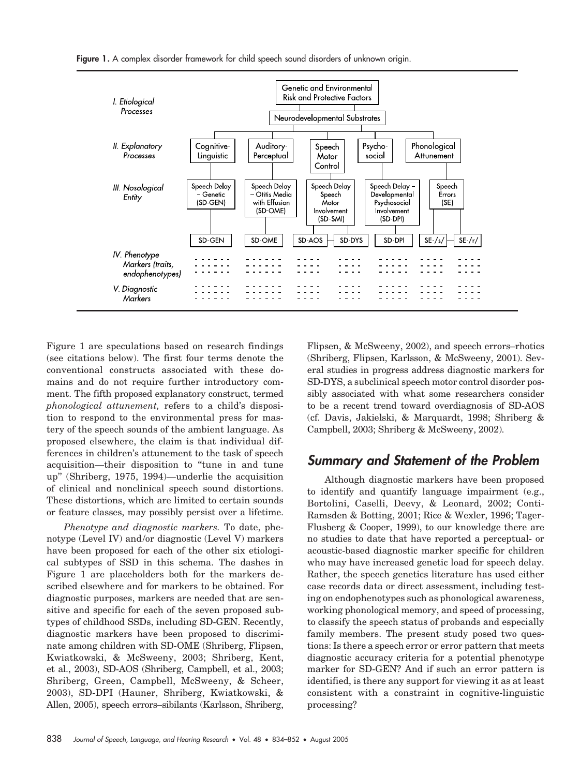Figure 1. A complex disorder framework for child speech sound disorders of unknown origin.



Figure 1 are speculations based on research findings (see citations below). The first four terms denote the conventional constructs associated with these domains and do not require further introductory comment. The fifth proposed explanatory construct, termed phonological attunement, refers to a child's disposition to respond to the environmental press for mastery of the speech sounds of the ambient language. As proposed elsewhere, the claim is that individual differences in children's attunement to the task of speech acquisition—their disposition to ''tune in and tune up'' (Shriberg, 1975, 1994)—underlie the acquisition of clinical and nonclinical speech sound distortions. These distortions, which are limited to certain sounds or feature classes, may possibly persist over a lifetime.

Phenotype and diagnostic markers. To date, phenotype (Level IV) and/or diagnostic (Level V) markers have been proposed for each of the other six etiological subtypes of SSD in this schema. The dashes in Figure 1 are placeholders both for the markers described elsewhere and for markers to be obtained. For diagnostic purposes, markers are needed that are sensitive and specific for each of the seven proposed subtypes of childhood SSDs, including SD-GEN. Recently, diagnostic markers have been proposed to discriminate among children with SD-OME (Shriberg, Flipsen, Kwiatkowski, & McSweeny, 2003; Shriberg, Kent, et al., 2003), SD-AOS (Shriberg, Campbell, et al., 2003; Shriberg, Green, Campbell, McSweeny, & Scheer, 2003), SD-DPI (Hauner, Shriberg, Kwiatkowski, & Allen, 2005), speech errors–sibilants (Karlsson, Shriberg, Flipsen, & McSweeny, 2002), and speech errors–rhotics (Shriberg, Flipsen, Karlsson, & McSweeny, 2001). Several studies in progress address diagnostic markers for SD-DYS, a subclinical speech motor control disorder possibly associated with what some researchers consider to be a recent trend toward overdiagnosis of SD-AOS (cf. Davis, Jakielski, & Marquardt, 1998; Shriberg & Campbell, 2003; Shriberg & McSweeny, 2002).

#### Summary and Statement of the Problem

Although diagnostic markers have been proposed to identify and quantify language impairment (e.g., Bortolini, Caselli, Deevy, & Leonard, 2002; Conti-Ramsden & Botting, 2001; Rice & Wexler, 1996; Tager-Flusberg & Cooper, 1999), to our knowledge there are no studies to date that have reported a perceptual- or acoustic-based diagnostic marker specific for children who may have increased genetic load for speech delay. Rather, the speech genetics literature has used either case records data or direct assessment, including testing on endophenotypes such as phonological awareness, working phonological memory, and speed of processing, to classify the speech status of probands and especially family members. The present study posed two questions: Is there a speech error or error pattern that meets diagnostic accuracy criteria for a potential phenotype marker for SD-GEN? And if such an error pattern is identified, is there any support for viewing it as at least consistent with a constraint in cognitive-linguistic processing?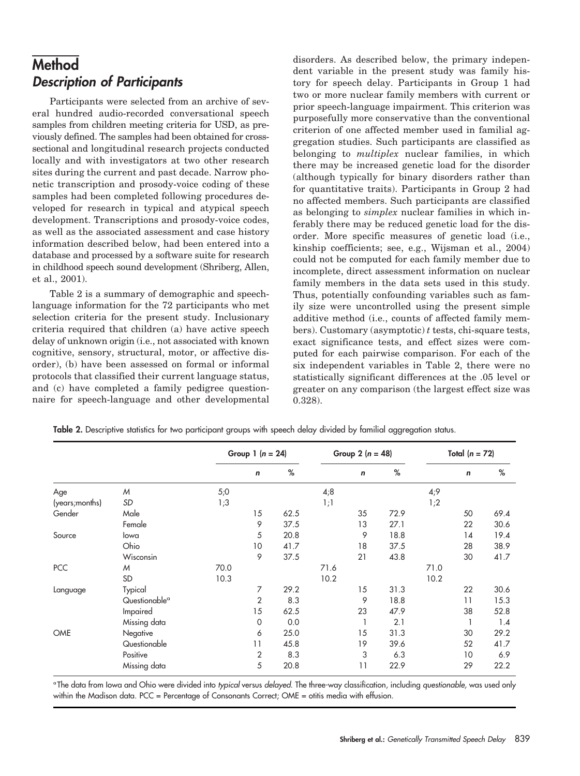## Method Description of Participants

Participants were selected from an archive of several hundred audio-recorded conversational speech samples from children meeting criteria for USD, as previously defined. The samples had been obtained for crosssectional and longitudinal research projects conducted locally and with investigators at two other research sites during the current and past decade. Narrow phonetic transcription and prosody-voice coding of these samples had been completed following procedures developed for research in typical and atypical speech development. Transcriptions and prosody-voice codes, as well as the associated assessment and case history information described below, had been entered into a database and processed by a software suite for research in childhood speech sound development (Shriberg, Allen, et al., 2001).

Table 2 is a summary of demographic and speechlanguage information for the 72 participants who met selection criteria for the present study. Inclusionary criteria required that children (a) have active speech delay of unknown origin (i.e., not associated with known cognitive, sensory, structural, motor, or affective disorder), (b) have been assessed on formal or informal protocols that classified their current language status, and (c) have completed a family pedigree questionnaire for speech-language and other developmental

disorders. As described below, the primary independent variable in the present study was family history for speech delay. Participants in Group 1 had two or more nuclear family members with current or prior speech-language impairment. This criterion was purposefully more conservative than the conventional criterion of one affected member used in familial aggregation studies. Such participants are classified as belonging to *multiplex* nuclear families, in which there may be increased genetic load for the disorder (although typically for binary disorders rather than for quantitative traits). Participants in Group 2 had no affected members. Such participants are classified as belonging to simplex nuclear families in which inferably there may be reduced genetic load for the disorder. More specific measures of genetic load (i.e., kinship coefficients; see, e.g., Wijsman et al., 2004) could not be computed for each family member due to incomplete, direct assessment information on nuclear family members in the data sets used in this study. Thus, potentially confounding variables such as family size were uncontrolled using the present simple additive method (i.e., counts of affected family members). Customary (asymptotic)  $t$  tests, chi-square tests, exact significance tests, and effect sizes were computed for each pairwise comparison. For each of the six independent variables in Table 2, there were no statistically significant differences at the .05 level or greater on any comparison (the largest effect size was 0.328).

|                |                           | Group 1 $(n = 24)$ |                | Group 2 $(n = 48)$ |      | Total $(n = 72)$ |      |      |    |      |
|----------------|---------------------------|--------------------|----------------|--------------------|------|------------------|------|------|----|------|
|                |                           |                    | $\mathbf n$    | $\%$               |      | $\mathbf n$      | %    |      | n  | %    |
| Age            | M                         | 5;0                |                |                    | 4;8  |                  |      | 4;9  |    |      |
| (years;months) | SD                        | 1;3                |                |                    | 1;1  |                  |      | 1;2  |    |      |
| Gender         | Male                      |                    | 15             | 62.5               |      | 35               | 72.9 |      | 50 | 69.4 |
|                | Female                    |                    | 9              | 37.5               |      | 13               | 27.1 |      | 22 | 30.6 |
| Source         | lowa                      |                    | 5              | 20.8               |      | 9                | 18.8 |      | 14 | 19.4 |
|                | Ohio                      |                    | 10             | 41.7               |      | 18               | 37.5 |      | 28 | 38.9 |
|                | Wisconsin                 |                    | 9              | 37.5               |      | 21               | 43.8 |      | 30 | 41.7 |
| PCC            | M                         | 70.0               |                |                    | 71.6 |                  |      | 71.0 |    |      |
|                | SD                        | 10.3               |                |                    | 10.2 |                  |      | 10.2 |    |      |
| Language       | Typical                   |                    | 7              | 29.2               |      | 15               | 31.3 |      | 22 | 30.6 |
|                | Questionable <sup>a</sup> |                    | $\overline{2}$ | 8.3                |      | 9                | 18.8 |      | 11 | 15.3 |
|                | Impaired                  |                    | 15             | 62.5               |      | 23               | 47.9 |      | 38 | 52.8 |
|                | Missing data              |                    | 0              | 0.0                |      | 1                | 2.1  |      |    | 1.4  |
| OME            | Negative                  |                    | 6              | 25.0               |      | 15               | 31.3 |      | 30 | 29.2 |
|                | Questionable              |                    | 11             | 45.8               |      | 19               | 39.6 |      | 52 | 41.7 |
|                | Positive                  |                    | $\overline{2}$ | 8.3                |      | 3                | 6.3  |      | 10 | 6.9  |
|                | Missing data              |                    | 5              | 20.8               |      | 11               | 22.9 |      | 29 | 22.2 |

Table 2. Descriptive statistics for two participant groups with speech delay divided by familial aggregation status.

<sup>a</sup>The data from Iowa and Ohio were divided into typical versus delayed. The three-way classification, including questionable, was used only within the Madison data. PCC = Percentage of Consonants Correct; OME = otitis media with effusion.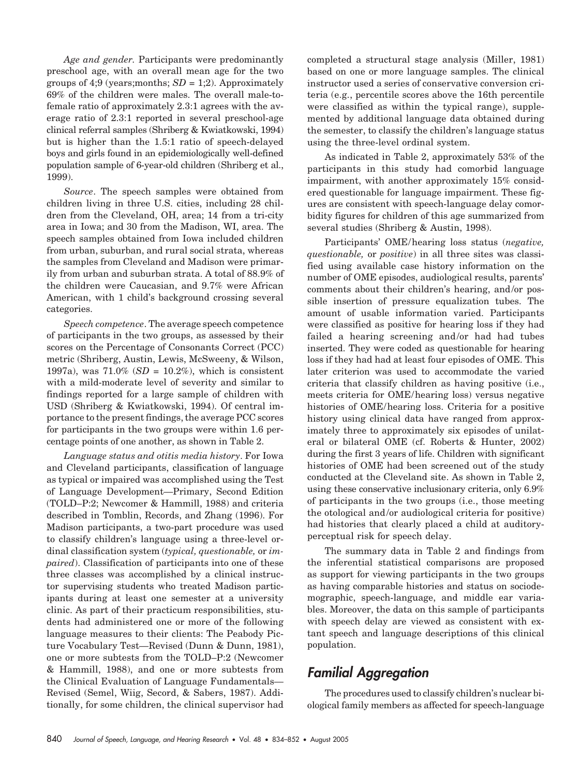Age and gender. Participants were predominantly preschool age, with an overall mean age for the two groups of 4;9 (years; months;  $SD = 1;2$ ). Approximately 69% of the children were males. The overall male-tofemale ratio of approximately 2.3:1 agrees with the average ratio of 2.3:1 reported in several preschool-age clinical referral samples (Shriberg & Kwiatkowski, 1994) but is higher than the 1.5:1 ratio of speech-delayed boys and girls found in an epidemiologically well-defined population sample of 6-year-old children (Shriberg et al., 1999).

Source. The speech samples were obtained from children living in three U.S. cities, including 28 children from the Cleveland, OH, area; 14 from a tri-city area in Iowa; and 30 from the Madison, WI, area. The speech samples obtained from Iowa included children from urban, suburban, and rural social strata, whereas the samples from Cleveland and Madison were primarily from urban and suburban strata. A total of 88.9% of the children were Caucasian, and 9.7% were African American, with 1 child's background crossing several categories.

Speech competence. The average speech competence of participants in the two groups, as assessed by their scores on the Percentage of Consonants Correct (PCC) metric (Shriberg, Austin, Lewis, McSweeny, & Wilson, 1997a), was  $71.0\%$  (SD = 10.2%), which is consistent with a mild-moderate level of severity and similar to findings reported for a large sample of children with USD (Shriberg & Kwiatkowski, 1994). Of central importance to the present findings, the average PCC scores for participants in the two groups were within 1.6 percentage points of one another, as shown in Table 2.

Language status and otitis media history. For Iowa and Cleveland participants, classification of language as typical or impaired was accomplished using the Test of Language Development—Primary, Second Edition (TOLD–P:2; Newcomer & Hammill, 1988) and criteria described in Tomblin, Records, and Zhang (1996). For Madison participants, a two-part procedure was used to classify children's language using a three-level ordinal classification system (typical, questionable, or impaired). Classification of participants into one of these three classes was accomplished by a clinical instructor supervising students who treated Madison participants during at least one semester at a university clinic. As part of their practicum responsibilities, students had administered one or more of the following language measures to their clients: The Peabody Picture Vocabulary Test—Revised (Dunn & Dunn, 1981), one or more subtests from the TOLD–P:2 (Newcomer & Hammill, 1988), and one or more subtests from the Clinical Evaluation of Language Fundamentals— Revised (Semel, Wiig, Secord, & Sabers, 1987). Additionally, for some children, the clinical supervisor had completed a structural stage analysis (Miller, 1981) based on one or more language samples. The clinical instructor used a series of conservative conversion criteria (e.g., percentile scores above the 16th percentile were classified as within the typical range), supplemented by additional language data obtained during the semester, to classify the children's language status using the three-level ordinal system.

As indicated in Table 2, approximately 53% of the participants in this study had comorbid language impairment, with another approximately 15% considered questionable for language impairment. These figures are consistent with speech-language delay comorbidity figures for children of this age summarized from several studies (Shriberg & Austin, 1998).

Participants' OME/hearing loss status (negative, questionable, or positive) in all three sites was classified using available case history information on the number of OME episodes, audiological results, parents' comments about their children's hearing, and/or possible insertion of pressure equalization tubes. The amount of usable information varied. Participants were classified as positive for hearing loss if they had failed a hearing screening and/or had had tubes inserted. They were coded as questionable for hearing loss if they had had at least four episodes of OME. This later criterion was used to accommodate the varied criteria that classify children as having positive (i.e., meets criteria for OME/hearing loss) versus negative histories of OME/hearing loss. Criteria for a positive history using clinical data have ranged from approximately three to approximately six episodes of unilateral or bilateral OME (cf. Roberts & Hunter, 2002) during the first 3 years of life. Children with significant histories of OME had been screened out of the study conducted at the Cleveland site. As shown in Table 2, using these conservative inclusionary criteria, only 6.9% of participants in the two groups (i.e., those meeting the otological and/or audiological criteria for positive) had histories that clearly placed a child at auditoryperceptual risk for speech delay.

The summary data in Table 2 and findings from the inferential statistical comparisons are proposed as support for viewing participants in the two groups as having comparable histories and status on sociodemographic, speech-language, and middle ear variables. Moreover, the data on this sample of participants with speech delay are viewed as consistent with extant speech and language descriptions of this clinical population.

## Familial Aggregation

The procedures used to classify children's nuclear biological family members as affected for speech-language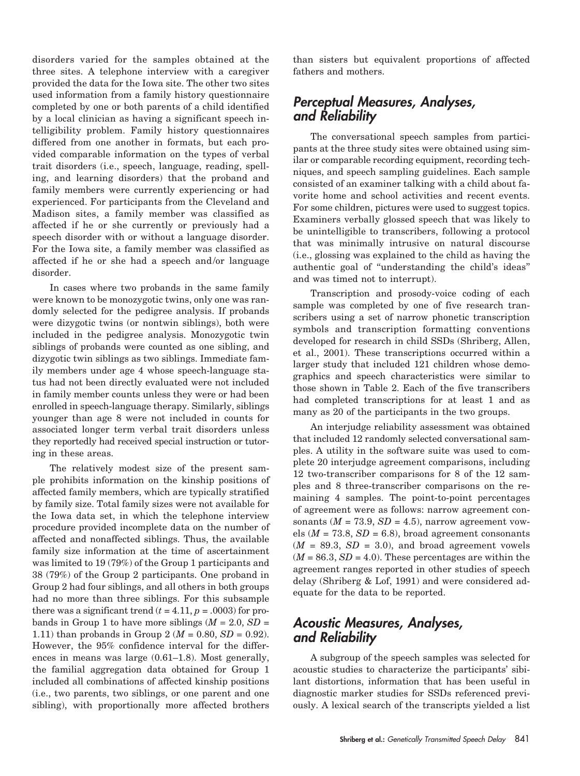disorders varied for the samples obtained at the three sites. A telephone interview with a caregiver provided the data for the Iowa site. The other two sites used information from a family history questionnaire completed by one or both parents of a child identified by a local clinician as having a significant speech intelligibility problem. Family history questionnaires differed from one another in formats, but each provided comparable information on the types of verbal trait disorders (i.e., speech, language, reading, spelling, and learning disorders) that the proband and family members were currently experiencing or had experienced. For participants from the Cleveland and Madison sites, a family member was classified as affected if he or she currently or previously had a speech disorder with or without a language disorder. For the Iowa site, a family member was classified as affected if he or she had a speech and/or language disorder.

In cases where two probands in the same family were known to be monozygotic twins, only one was randomly selected for the pedigree analysis. If probands were dizygotic twins (or nontwin siblings), both were included in the pedigree analysis. Monozygotic twin siblings of probands were counted as one sibling, and dizygotic twin siblings as two siblings. Immediate family members under age 4 whose speech-language status had not been directly evaluated were not included in family member counts unless they were or had been enrolled in speech-language therapy. Similarly, siblings younger than age 8 were not included in counts for associated longer term verbal trait disorders unless they reportedly had received special instruction or tutoring in these areas.

The relatively modest size of the present sample prohibits information on the kinship positions of affected family members, which are typically stratified by family size. Total family sizes were not available for the Iowa data set, in which the telephone interview procedure provided incomplete data on the number of affected and nonaffected siblings. Thus, the available family size information at the time of ascertainment was limited to 19 (79%) of the Group 1 participants and 38 (79%) of the Group 2 participants. One proband in Group 2 had four siblings, and all others in both groups had no more than three siblings. For this subsample there was a significant trend  $(t = 4.11, p = .0003)$  for probands in Group 1 to have more siblings  $(M = 2.0, SD =$ 1.11) than probands in Group 2 ( $M = 0.80$ ,  $SD = 0.92$ ). However, the 95% confidence interval for the differences in means was large (0.61–1.8). Most generally, the familial aggregation data obtained for Group 1 included all combinations of affected kinship positions (i.e., two parents, two siblings, or one parent and one sibling), with proportionally more affected brothers

than sisters but equivalent proportions of affected fathers and mothers.

#### Perceptual Measures, Analyses, and Reliability

The conversational speech samples from participants at the three study sites were obtained using similar or comparable recording equipment, recording techniques, and speech sampling guidelines. Each sample consisted of an examiner talking with a child about favorite home and school activities and recent events. For some children, pictures were used to suggest topics. Examiners verbally glossed speech that was likely to be unintelligible to transcribers, following a protocol that was minimally intrusive on natural discourse (i.e., glossing was explained to the child as having the authentic goal of ''understanding the child's ideas'' and was timed not to interrupt).

Transcription and prosody-voice coding of each sample was completed by one of five research transcribers using a set of narrow phonetic transcription symbols and transcription formatting conventions developed for research in child SSDs (Shriberg, Allen, et al., 2001). These transcriptions occurred within a larger study that included 121 children whose demographics and speech characteristics were similar to those shown in Table 2. Each of the five transcribers had completed transcriptions for at least 1 and as many as 20 of the participants in the two groups.

An interjudge reliability assessment was obtained that included 12 randomly selected conversational samples. A utility in the software suite was used to complete 20 interjudge agreement comparisons, including 12 two-transcriber comparisons for 8 of the 12 samples and 8 three-transcriber comparisons on the remaining 4 samples. The point-to-point percentages of agreement were as follows: narrow agreement consonants ( $M = 73.9$ ,  $SD = 4.5$ ), narrow agreement vowels ( $M = 73.8$ ,  $SD = 6.8$ ), broad agreement consonants  $(M = 89.3, SD = 3.0)$ , and broad agreement vowels  $(M = 86.3, SD = 4.0)$ . These percentages are within the agreement ranges reported in other studies of speech delay (Shriberg & Lof, 1991) and were considered adequate for the data to be reported.

#### Acoustic Measures, Analyses, and Reliability

A subgroup of the speech samples was selected for acoustic studies to characterize the participants' sibilant distortions, information that has been useful in diagnostic marker studies for SSDs referenced previously. A lexical search of the transcripts yielded a list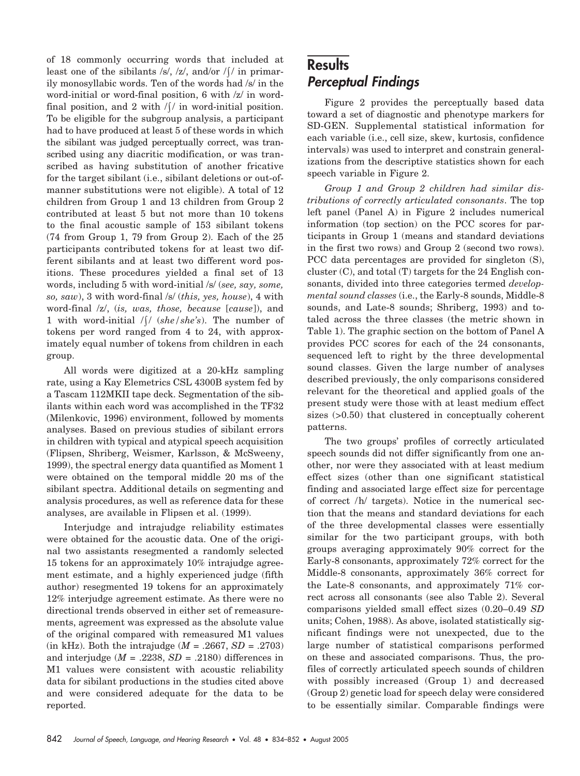of 18 commonly occurring words that included at least one of the sibilants /s/, /z/, and/or / $\int$  in primarily monosyllabic words. Ten of the words had /s/ in the word-initial or word-final position, 6 with /z/ in wordfinal position, and 2 with  $/$  in word-initial position. To be eligible for the subgroup analysis, a participant had to have produced at least 5 of these words in which the sibilant was judged perceptually correct, was transcribed using any diacritic modification, or was transcribed as having substitution of another fricative for the target sibilant (i.e., sibilant deletions or out-ofmanner substitutions were not eligible). A total of 12 children from Group 1 and 13 children from Group 2 contributed at least 5 but not more than 10 tokens to the final acoustic sample of 153 sibilant tokens (74 from Group 1, 79 from Group 2). Each of the 25 participants contributed tokens for at least two different sibilants and at least two different word positions. These procedures yielded a final set of 13 words, including 5 with word-initial /s/ (see, say, some, so, saw), 3 with word-final /s/ (this, yes, house), 4 with word-final /z/, (is, was, those, because [cause]), and 1 with word-initial  $/$   $/$   $(she/she's)$ . The number of tokens per word ranged from 4 to 24, with approximately equal number of tokens from children in each group.

All words were digitized at a 20-kHz sampling rate, using a Kay Elemetrics CSL 4300B system fed by a Tascam 112MKII tape deck. Segmentation of the sibilants within each word was accomplished in the TF32 (Milenkovic, 1996) environment, followed by moments analyses. Based on previous studies of sibilant errors in children with typical and atypical speech acquisition (Flipsen, Shriberg, Weismer, Karlsson, & McSweeny, 1999), the spectral energy data quantified as Moment 1 were obtained on the temporal middle 20 ms of the sibilant spectra. Additional details on segmenting and analysis procedures, as well as reference data for these analyses, are available in Flipsen et al. (1999).

Interjudge and intrajudge reliability estimates were obtained for the acoustic data. One of the original two assistants resegmented a randomly selected 15 tokens for an approximately 10% intrajudge agreement estimate, and a highly experienced judge (fifth author) resegmented 19 tokens for an approximately 12% interjudge agreement estimate. As there were no directional trends observed in either set of remeasurements, agreement was expressed as the absolute value of the original compared with remeasured M1 values (in kHz). Both the intrajudge  $(M = .2667, SD = .2703)$ and interjudge  $(M = .2238, SD = .2180)$  differences in M1 values were consistent with acoustic reliability data for sibilant productions in the studies cited above and were considered adequate for the data to be reported.

# **Results** Perceptual Findings

Figure 2 provides the perceptually based data toward a set of diagnostic and phenotype markers for SD-GEN. Supplemental statistical information for each variable (i.e., cell size, skew, kurtosis, confidence intervals) was used to interpret and constrain generalizations from the descriptive statistics shown for each speech variable in Figure 2.

Group 1 and Group 2 children had similar distributions of correctly articulated consonants. The top left panel (Panel A) in Figure 2 includes numerical information (top section) on the PCC scores for participants in Group 1 (means and standard deviations in the first two rows) and Group 2 (second two rows). PCC data percentages are provided for singleton (S), cluster (C), and total (T) targets for the 24 English consonants, divided into three categories termed *develop*mental sound classes (i.e., the Early-8 sounds, Middle-8 sounds, and Late-8 sounds; Shriberg, 1993) and totaled across the three classes (the metric shown in Table 1). The graphic section on the bottom of Panel A provides PCC scores for each of the 24 consonants, sequenced left to right by the three developmental sound classes. Given the large number of analyses described previously, the only comparisons considered relevant for the theoretical and applied goals of the present study were those with at least medium effect sizes (>0.50) that clustered in conceptually coherent patterns.

The two groups' profiles of correctly articulated speech sounds did not differ significantly from one another, nor were they associated with at least medium effect sizes (other than one significant statistical finding and associated large effect size for percentage of correct /h/ targets). Notice in the numerical section that the means and standard deviations for each of the three developmental classes were essentially similar for the two participant groups, with both groups averaging approximately 90% correct for the Early-8 consonants, approximately 72% correct for the Middle-8 consonants, approximately 36% correct for the Late-8 consonants, and approximately 71% correct across all consonants (see also Table 2). Several comparisons yielded small effect sizes (0.20–0.49 SD units; Cohen, 1988). As above, isolated statistically significant findings were not unexpected, due to the large number of statistical comparisons performed on these and associated comparisons. Thus, the profiles of correctly articulated speech sounds of children with possibly increased (Group 1) and decreased (Group 2) genetic load for speech delay were considered to be essentially similar. Comparable findings were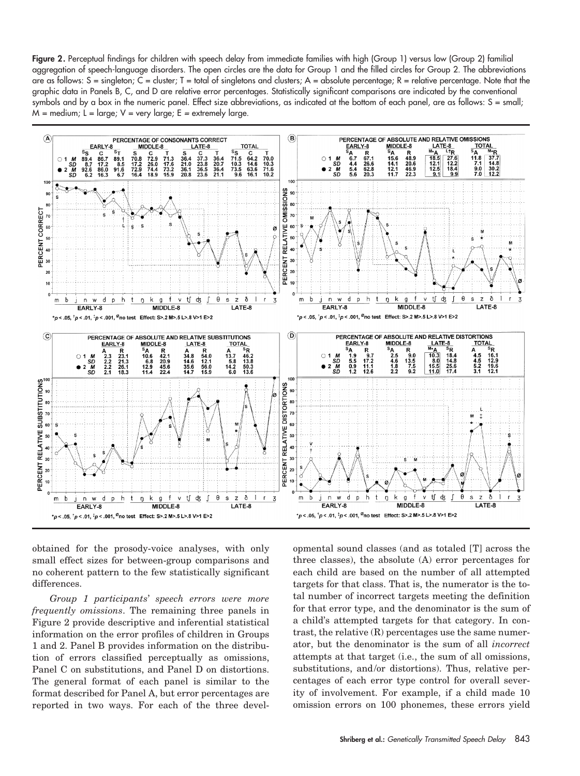Figure 2. Perceptual findings for children with speech delay from immediate families with high (Group 1) versus low (Group 2) familial aggregation of speech-language disorders. The open circles are the data for Group 1 and the filled circles for Group 2. The abbreviations are as follows: S = singleton; C = cluster; T = total of singletons and clusters; A = absolute percentage; R = relative percentage. Note that the graphic data in Panels B, C, and D are relative error percentages. Statistically significant comparisons are indicated by the conventional symbols and by a box in the numeric panel. Effect size abbreviations, as indicated at the bottom of each panel, are as follows: S = small;  $M =$  medium;  $L =$  large;  $V =$  very large;  $E =$  extremely large.



obtained for the prosody-voice analyses, with only small effect sizes for between-group comparisons and no coherent pattern to the few statistically significant differences.

Group 1 participants' speech errors were more frequently omissions. The remaining three panels in Figure 2 provide descriptive and inferential statistical information on the error profiles of children in Groups 1 and 2. Panel B provides information on the distribution of errors classified perceptually as omissions, Panel C on substitutions, and Panel D on distortions. The general format of each panel is similar to the format described for Panel A, but error percentages are reported in two ways. For each of the three devel-

opmental sound classes (and as totaled [T] across the three classes), the absolute (A) error percentages for each child are based on the number of all attempted targets for that class. That is, the numerator is the total number of incorrect targets meeting the definition for that error type, and the denominator is the sum of a child's attempted targets for that category. In contrast, the relative (R) percentages use the same numerator, but the denominator is the sum of all incorrect attempts at that target (i.e., the sum of all omissions, substitutions, and/or distortions). Thus, relative percentages of each error type control for overall severity of involvement. For example, if a child made 10 omission errors on 100 phonemes, these errors yield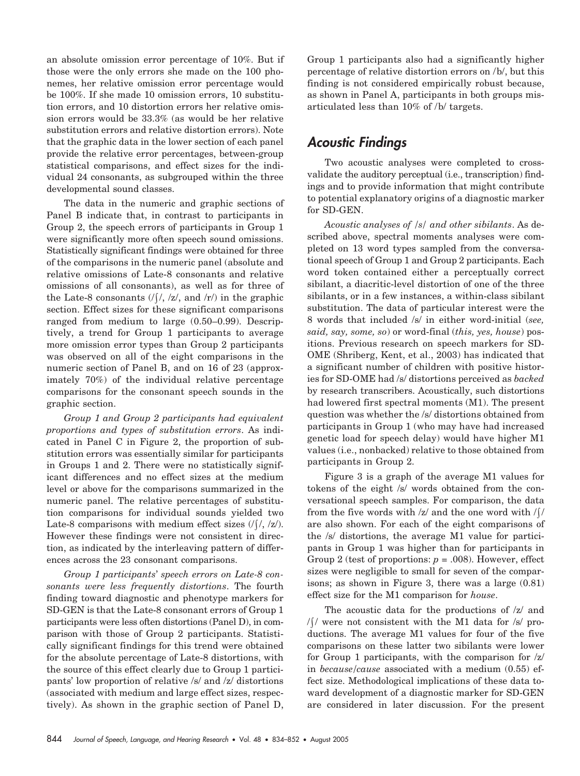an absolute omission error percentage of 10%. But if those were the only errors she made on the 100 phonemes, her relative omission error percentage would be 100%. If she made 10 omission errors, 10 substitution errors, and 10 distortion errors her relative omission errors would be 33.3% (as would be her relative substitution errors and relative distortion errors). Note that the graphic data in the lower section of each panel provide the relative error percentages, between-group statistical comparisons, and effect sizes for the individual 24 consonants, as subgrouped within the three developmental sound classes.

The data in the numeric and graphic sections of Panel B indicate that, in contrast to participants in Group 2, the speech errors of participants in Group 1 were significantly more often speech sound omissions. Statistically significant findings were obtained for three of the comparisons in the numeric panel (absolute and relative omissions of Late-8 consonants and relative omissions of all consonants), as well as for three of the Late-8 consonants  $\left(\frac{1}{2}, \frac{1}{2}\right)$ , and  $\left(\frac{1}{2}\right)$  in the graphic section. Effect sizes for these significant comparisons ranged from medium to large (0.50–0.99). Descriptively, a trend for Group 1 participants to average more omission error types than Group 2 participants was observed on all of the eight comparisons in the numeric section of Panel B, and on 16 of 23 (approximately 70%) of the individual relative percentage comparisons for the consonant speech sounds in the graphic section.

Group 1 and Group 2 participants had equivalent proportions and types of substitution errors. As indicated in Panel C in Figure 2, the proportion of substitution errors was essentially similar for participants in Groups 1 and 2. There were no statistically significant differences and no effect sizes at the medium level or above for the comparisons summarized in the numeric panel. The relative percentages of substitution comparisons for individual sounds yielded two Late-8 comparisons with medium effect sizes  $\left(\frac{1}{2}, \frac{1}{2}\right)$ . However these findings were not consistent in direction, as indicated by the interleaving pattern of differences across the 23 consonant comparisons.

Group 1 participants' speech errors on Late-8 consonants were less frequently distortions. The fourth finding toward diagnostic and phenotype markers for SD-GEN is that the Late-8 consonant errors of Group 1 participants were less often distortions (Panel D), in comparison with those of Group 2 participants. Statistically significant findings for this trend were obtained for the absolute percentage of Late-8 distortions, with the source of this effect clearly due to Group 1 participants' low proportion of relative /s/ and /z/ distortions (associated with medium and large effect sizes, respectively). As shown in the graphic section of Panel D, Group 1 participants also had a significantly higher percentage of relative distortion errors on /b/, but this finding is not considered empirically robust because, as shown in Panel A, participants in both groups misarticulated less than  $10\%$  of /b/ targets.

#### Acoustic Findings

Two acoustic analyses were completed to crossvalidate the auditory perceptual (i.e., transcription) findings and to provide information that might contribute to potential explanatory origins of a diagnostic marker for SD-GEN.

Acoustic analyses of /s/ and other sibilants. As described above, spectral moments analyses were completed on 13 word types sampled from the conversational speech of Group 1 and Group 2 participants. Each word token contained either a perceptually correct sibilant, a diacritic-level distortion of one of the three sibilants, or in a few instances, a within-class sibilant substitution. The data of particular interest were the 8 words that included /s/ in either word-initial (see, said, say, some, so) or word-final (this, yes, house) positions. Previous research on speech markers for SD-OME (Shriberg, Kent, et al., 2003) has indicated that a significant number of children with positive histories for SD-OME had /s/ distortions perceived as backed by research transcribers. Acoustically, such distortions had lowered first spectral moments (M1). The present question was whether the /s/ distortions obtained from participants in Group 1 (who may have had increased genetic load for speech delay) would have higher M1 values (i.e., nonbacked) relative to those obtained from participants in Group 2.

Figure 3 is a graph of the average M1 values for tokens of the eight /s/ words obtained from the conversational speech samples. For comparison, the data from the five words with  $\frac{z}{a}$  and the one word with  $\frac{z}{a}$ are also shown. For each of the eight comparisons of the /s/ distortions, the average M1 value for participants in Group 1 was higher than for participants in Group 2 (test of proportions:  $p = .008$ ). However, effect sizes were negligible to small for seven of the comparisons; as shown in Figure 3, there was a large (0.81) effect size for the M1 comparison for house.

The acoustic data for the productions of /z/ and  $/$ / $/$  were not consistent with the M1 data for  $/$ s/ productions. The average M1 values for four of the five comparisons on these latter two sibilants were lower for Group 1 participants, with the comparison for  $|z|$ in because/cause associated with a medium (0.55) effect size. Methodological implications of these data toward development of a diagnostic marker for SD-GEN are considered in later discussion. For the present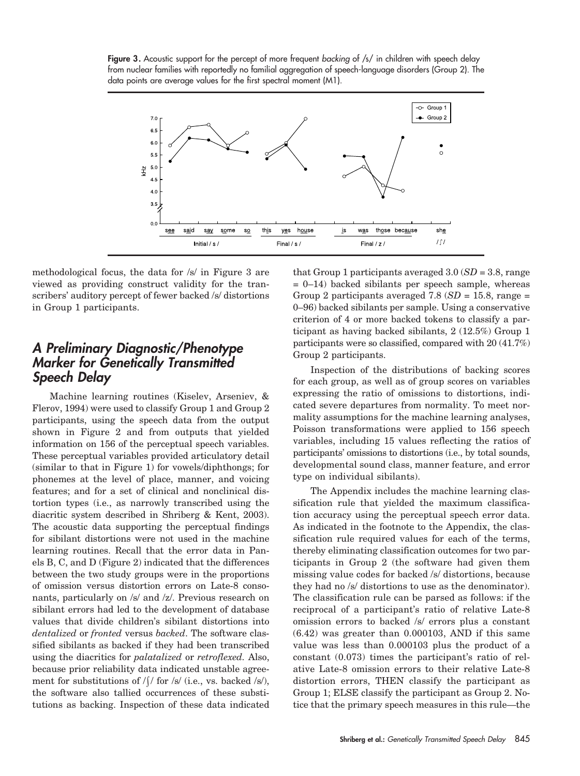Figure 3. Acoustic support for the percept of more frequent backing of /s/ in children with speech delay from nuclear families with reportedly no familial aggregation of speech-language disorders (Group 2). The data points are average values for the first spectral moment (M1).



methodological focus, the data for /s/ in Figure 3 are viewed as providing construct validity for the transcribers' auditory percept of fewer backed /s/ distortions in Group 1 participants.

#### A Preliminary Diagnostic/Phenotype Marker for Genetically Transmitted Speech Delay

Machine learning routines (Kiselev, Arseniev, & Flerov, 1994) were used to classify Group 1 and Group 2 participants, using the speech data from the output shown in Figure 2 and from outputs that yielded information on 156 of the perceptual speech variables. These perceptual variables provided articulatory detail (similar to that in Figure 1) for vowels/diphthongs; for phonemes at the level of place, manner, and voicing features; and for a set of clinical and nonclinical distortion types (i.e., as narrowly transcribed using the diacritic system described in Shriberg & Kent, 2003). The acoustic data supporting the perceptual findings for sibilant distortions were not used in the machine learning routines. Recall that the error data in Panels B, C, and D (Figure 2) indicated that the differences between the two study groups were in the proportions of omission versus distortion errors on Late-8 consonants, particularly on /s/ and /z/. Previous research on sibilant errors had led to the development of database values that divide children's sibilant distortions into dentalized or fronted versus backed. The software classified sibilants as backed if they had been transcribed using the diacritics for palatalized or retroflexed. Also, because prior reliability data indicated unstable agreement for substitutions of  $/$   $/$  for  $/$ s $/$  (i.e., vs. backed  $/$ s $/$ ), the software also tallied occurrences of these substitutions as backing. Inspection of these data indicated

that Group 1 participants averaged  $3.0$  (SD = 3.8, range  $= 0-14$ ) backed sibilants per speech sample, whereas Group 2 participants averaged 7.8  $(SD = 15.8, \text{ range} =$ 0–96) backed sibilants per sample. Using a conservative criterion of 4 or more backed tokens to classify a participant as having backed sibilants, 2 (12.5%) Group 1 participants were so classified, compared with 20 (41.7%) Group 2 participants.

Inspection of the distributions of backing scores for each group, as well as of group scores on variables expressing the ratio of omissions to distortions, indicated severe departures from normality. To meet normality assumptions for the machine learning analyses, Poisson transformations were applied to 156 speech variables, including 15 values reflecting the ratios of participants' omissions to distortions (i.e., by total sounds, developmental sound class, manner feature, and error type on individual sibilants).

The Appendix includes the machine learning classification rule that yielded the maximum classification accuracy using the perceptual speech error data. As indicated in the footnote to the Appendix, the classification rule required values for each of the terms, thereby eliminating classification outcomes for two participants in Group 2 (the software had given them missing value codes for backed /s/ distortions, because they had no /s/ distortions to use as the denominator). The classification rule can be parsed as follows: if the reciprocal of a participant's ratio of relative Late-8 omission errors to backed /s/ errors plus a constant (6.42) was greater than 0.000103, AND if this same value was less than 0.000103 plus the product of a constant (0.073) times the participant's ratio of relative Late-8 omission errors to their relative Late-8 distortion errors, THEN classify the participant as Group 1; ELSE classify the participant as Group 2. Notice that the primary speech measures in this rule—the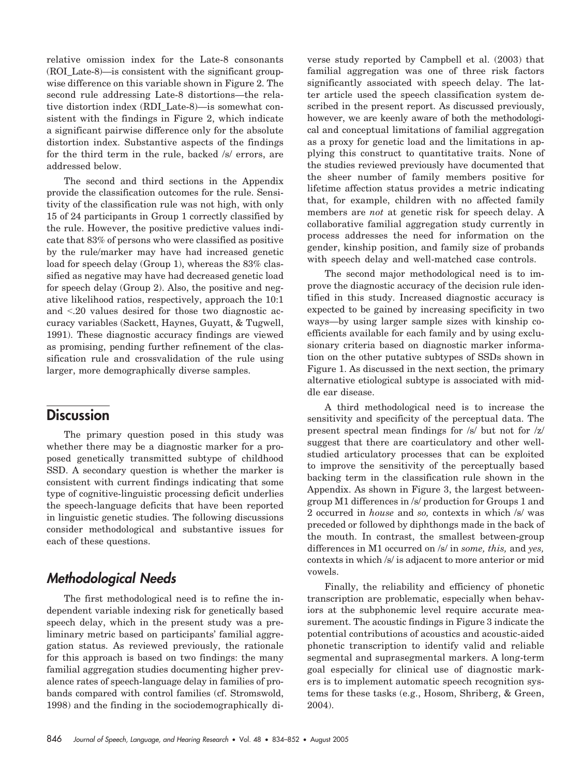relative omission index for the Late-8 consonants (ROI\_Late-8)—is consistent with the significant groupwise difference on this variable shown in Figure 2. The second rule addressing Late-8 distortions—the relative distortion index (RDI\_Late-8)—is somewhat consistent with the findings in Figure 2, which indicate a significant pairwise difference only for the absolute distortion index. Substantive aspects of the findings for the third term in the rule, backed /s/ errors, are addressed below.

The second and third sections in the Appendix provide the classification outcomes for the rule. Sensitivity of the classification rule was not high, with only 15 of 24 participants in Group 1 correctly classified by the rule. However, the positive predictive values indicate that 83% of persons who were classified as positive by the rule/marker may have had increased genetic load for speech delay (Group 1), whereas the 83% classified as negative may have had decreased genetic load for speech delay (Group 2). Also, the positive and negative likelihood ratios, respectively, approach the 10:1 and  $\leq$  20 values desired for those two diagnostic accuracy variables (Sackett, Haynes, Guyatt, & Tugwell, 1991). These diagnostic accuracy findings are viewed as promising, pending further refinement of the classification rule and crossvalidation of the rule using larger, more demographically diverse samples.

## **Discussion**

The primary question posed in this study was whether there may be a diagnostic marker for a proposed genetically transmitted subtype of childhood SSD. A secondary question is whether the marker is consistent with current findings indicating that some type of cognitive-linguistic processing deficit underlies the speech-language deficits that have been reported in linguistic genetic studies. The following discussions consider methodological and substantive issues for each of these questions.

#### Methodological Needs

The first methodological need is to refine the independent variable indexing risk for genetically based speech delay, which in the present study was a preliminary metric based on participants' familial aggregation status. As reviewed previously, the rationale for this approach is based on two findings: the many familial aggregation studies documenting higher prevalence rates of speech-language delay in families of probands compared with control families (cf. Stromswold, 1998) and the finding in the sociodemographically diverse study reported by Campbell et al. (2003) that familial aggregation was one of three risk factors significantly associated with speech delay. The latter article used the speech classification system described in the present report. As discussed previously, however, we are keenly aware of both the methodological and conceptual limitations of familial aggregation as a proxy for genetic load and the limitations in applying this construct to quantitative traits. None of the studies reviewed previously have documented that the sheer number of family members positive for lifetime affection status provides a metric indicating that, for example, children with no affected family members are *not* at genetic risk for speech delay. A collaborative familial aggregation study currently in process addresses the need for information on the gender, kinship position, and family size of probands with speech delay and well-matched case controls.

The second major methodological need is to improve the diagnostic accuracy of the decision rule identified in this study. Increased diagnostic accuracy is expected to be gained by increasing specificity in two ways—by using larger sample sizes with kinship coefficients available for each family and by using exclusionary criteria based on diagnostic marker information on the other putative subtypes of SSDs shown in Figure 1. As discussed in the next section, the primary alternative etiological subtype is associated with middle ear disease.

A third methodological need is to increase the sensitivity and specificity of the perceptual data. The present spectral mean findings for /s/ but not for /z/ suggest that there are coarticulatory and other wellstudied articulatory processes that can be exploited to improve the sensitivity of the perceptually based backing term in the classification rule shown in the Appendix. As shown in Figure 3, the largest betweengroup M1 differences in /s/ production for Groups 1 and 2 occurred in house and so, contexts in which /s/ was preceded or followed by diphthongs made in the back of the mouth. In contrast, the smallest between-group differences in M1 occurred on /s/ in some, this, and yes, contexts in which /s/ is adjacent to more anterior or mid vowels.

Finally, the reliability and efficiency of phonetic transcription are problematic, especially when behaviors at the subphonemic level require accurate measurement. The acoustic findings in Figure 3 indicate the potential contributions of acoustics and acoustic-aided phonetic transcription to identify valid and reliable segmental and suprasegmental markers. A long-term goal especially for clinical use of diagnostic markers is to implement automatic speech recognition systems for these tasks (e.g., Hosom, Shriberg, & Green, 2004).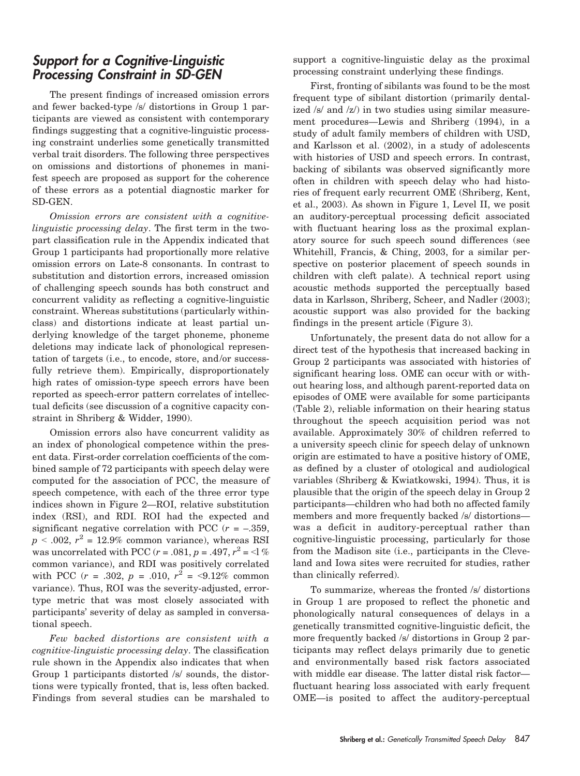#### Support for a Cognitive-Linguistic Processing Constraint in SD-GEN

The present findings of increased omission errors and fewer backed-type /s/ distortions in Group 1 participants are viewed as consistent with contemporary findings suggesting that a cognitive-linguistic processing constraint underlies some genetically transmitted verbal trait disorders. The following three perspectives on omissions and distortions of phonemes in manifest speech are proposed as support for the coherence of these errors as a potential diagnostic marker for SD-GEN.

Omission errors are consistent with a cognitivelinguistic processing delay. The first term in the twopart classification rule in the Appendix indicated that Group 1 participants had proportionally more relative omission errors on Late-8 consonants. In contrast to substitution and distortion errors, increased omission of challenging speech sounds has both construct and concurrent validity as reflecting a cognitive-linguistic constraint. Whereas substitutions (particularly withinclass) and distortions indicate at least partial underlying knowledge of the target phoneme, phoneme deletions may indicate lack of phonological representation of targets (i.e., to encode, store, and/or successfully retrieve them). Empirically, disproportionately high rates of omission-type speech errors have been reported as speech-error pattern correlates of intellectual deficits (see discussion of a cognitive capacity constraint in Shriberg & Widder, 1990).

Omission errors also have concurrent validity as an index of phonological competence within the present data. First-order correlation coefficients of the combined sample of 72 participants with speech delay were computed for the association of PCC, the measure of speech competence, with each of the three error type indices shown in Figure 2—ROI, relative substitution index (RSI), and RDI. ROI had the expected and significant negative correlation with PCC  $(r = -.359, ...)$  $p \leq 0.002$ ,  $r^2 = 12.9\%$  common variance), whereas RSI was uncorrelated with PCC  $(r=.081, p=.497, r^2=<1\%$ common variance), and RDI was positively correlated with PCC  $(r = .302, p = .010, r^2 = \langle 9.12\% \text{ common} \rangle$ variance). Thus, ROI was the severity-adjusted, errortype metric that was most closely associated with participants' severity of delay as sampled in conversational speech.

Few backed distortions are consistent with a cognitive-linguistic processing delay. The classification rule shown in the Appendix also indicates that when Group 1 participants distorted /s/ sounds, the distortions were typically fronted, that is, less often backed. Findings from several studies can be marshaled to support a cognitive-linguistic delay as the proximal processing constraint underlying these findings.

First, fronting of sibilants was found to be the most frequent type of sibilant distortion (primarily dentalized /s/ and /z/) in two studies using similar measurement procedures—Lewis and Shriberg (1994), in a study of adult family members of children with USD, and Karlsson et al. (2002), in a study of adolescents with histories of USD and speech errors. In contrast, backing of sibilants was observed significantly more often in children with speech delay who had histories of frequent early recurrent OME (Shriberg, Kent, et al., 2003). As shown in Figure 1, Level II, we posit an auditory-perceptual processing deficit associated with fluctuant hearing loss as the proximal explanatory source for such speech sound differences (see Whitehill, Francis, & Ching, 2003, for a similar perspective on posterior placement of speech sounds in children with cleft palate). A technical report using acoustic methods supported the perceptually based data in Karlsson, Shriberg, Scheer, and Nadler (2003); acoustic support was also provided for the backing findings in the present article (Figure 3).

Unfortunately, the present data do not allow for a direct test of the hypothesis that increased backing in Group 2 participants was associated with histories of significant hearing loss. OME can occur with or without hearing loss, and although parent-reported data on episodes of OME were available for some participants (Table 2), reliable information on their hearing status throughout the speech acquisition period was not available. Approximately 30% of children referred to a university speech clinic for speech delay of unknown origin are estimated to have a positive history of OME, as defined by a cluster of otological and audiological variables (Shriberg & Kwiatkowski, 1994). Thus, it is plausible that the origin of the speech delay in Group 2 participants—children who had both no affected family members and more frequently backed /s/ distortions was a deficit in auditory-perceptual rather than cognitive-linguistic processing, particularly for those from the Madison site (i.e., participants in the Cleveland and Iowa sites were recruited for studies, rather than clinically referred).

To summarize, whereas the fronted /s/ distortions in Group 1 are proposed to reflect the phonetic and phonologically natural consequences of delays in a genetically transmitted cognitive-linguistic deficit, the more frequently backed /s/ distortions in Group 2 participants may reflect delays primarily due to genetic and environmentally based risk factors associated with middle ear disease. The latter distal risk factor fluctuant hearing loss associated with early frequent OME—is posited to affect the auditory-perceptual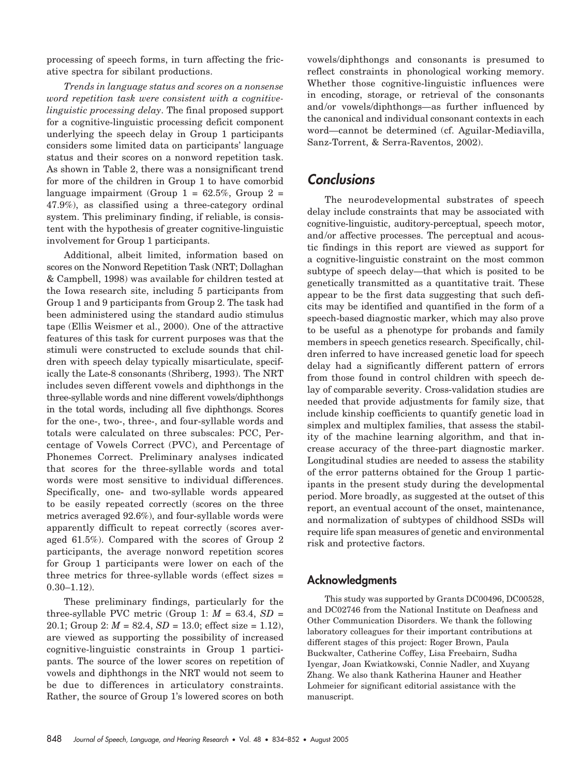processing of speech forms, in turn affecting the fricative spectra for sibilant productions.

Trends in language status and scores on a nonsense word repetition task were consistent with a cognitivelinguistic processing delay. The final proposed support for a cognitive-linguistic processing deficit component underlying the speech delay in Group 1 participants considers some limited data on participants' language status and their scores on a nonword repetition task. As shown in Table 2, there was a nonsignificant trend for more of the children in Group 1 to have comorbid language impairment (Group  $1 = 62.5\%$ , Group  $2 =$ 47.9%), as classified using a three-category ordinal system. This preliminary finding, if reliable, is consistent with the hypothesis of greater cognitive-linguistic involvement for Group 1 participants.

Additional, albeit limited, information based on scores on the Nonword Repetition Task (NRT; Dollaghan & Campbell, 1998) was available for children tested at the Iowa research site, including 5 participants from Group 1 and 9 participants from Group 2. The task had been administered using the standard audio stimulus tape (Ellis Weismer et al., 2000). One of the attractive features of this task for current purposes was that the stimuli were constructed to exclude sounds that children with speech delay typically misarticulate, specifically the Late-8 consonants (Shriberg, 1993). The NRT includes seven different vowels and diphthongs in the three-syllable words and nine different vowels/diphthongs in the total words, including all five diphthongs. Scores for the one-, two-, three-, and four-syllable words and totals were calculated on three subscales: PCC, Percentage of Vowels Correct (PVC), and Percentage of Phonemes Correct. Preliminary analyses indicated that scores for the three-syllable words and total words were most sensitive to individual differences. Specifically, one- and two-syllable words appeared to be easily repeated correctly (scores on the three metrics averaged 92.6%), and four-syllable words were apparently difficult to repeat correctly (scores averaged 61.5%). Compared with the scores of Group 2 participants, the average nonword repetition scores for Group 1 participants were lower on each of the three metrics for three-syllable words (effect sizes = 0.30–1.12).

These preliminary findings, particularly for the three-syllable PVC metric (Group 1:  $M = 63.4$ ,  $SD =$ 20.1; Group 2:  $M = 82.4$ ,  $SD = 13.0$ ; effect size = 1.12), are viewed as supporting the possibility of increased cognitive-linguistic constraints in Group 1 participants. The source of the lower scores on repetition of vowels and diphthongs in the NRT would not seem to be due to differences in articulatory constraints. Rather, the source of Group 1's lowered scores on both

vowels/diphthongs and consonants is presumed to reflect constraints in phonological working memory. Whether those cognitive-linguistic influences were in encoding, storage, or retrieval of the consonants and/or vowels/diphthongs—as further influenced by the canonical and individual consonant contexts in each word—cannot be determined (cf. Aguilar-Mediavilla, Sanz-Torrent, & Serra-Raventos, 2002).

#### Conclusions

The neurodevelopmental substrates of speech delay include constraints that may be associated with cognitive-linguistic, auditory-perceptual, speech motor, and/or affective processes. The perceptual and acoustic findings in this report are viewed as support for a cognitive-linguistic constraint on the most common subtype of speech delay—that which is posited to be genetically transmitted as a quantitative trait. These appear to be the first data suggesting that such deficits may be identified and quantified in the form of a speech-based diagnostic marker, which may also prove to be useful as a phenotype for probands and family members in speech genetics research. Specifically, children inferred to have increased genetic load for speech delay had a significantly different pattern of errors from those found in control children with speech delay of comparable severity. Cross-validation studies are needed that provide adjustments for family size, that include kinship coefficients to quantify genetic load in simplex and multiplex families, that assess the stability of the machine learning algorithm, and that increase accuracy of the three-part diagnostic marker. Longitudinal studies are needed to assess the stability of the error patterns obtained for the Group 1 participants in the present study during the developmental period. More broadly, as suggested at the outset of this report, an eventual account of the onset, maintenance, and normalization of subtypes of childhood SSDs will require life span measures of genetic and environmental risk and protective factors.

#### Acknowledgments

This study was supported by Grants DC00496, DC00528, and DC02746 from the National Institute on Deafness and Other Communication Disorders. We thank the following laboratory colleagues for their important contributions at different stages of this project: Roger Brown, Paula Buckwalter, Catherine Coffey, Lisa Freebairn, Sudha Iyengar, Joan Kwiatkowski, Connie Nadler, and Xuyang Zhang. We also thank Katherina Hauner and Heather Lohmeier for significant editorial assistance with the manuscript.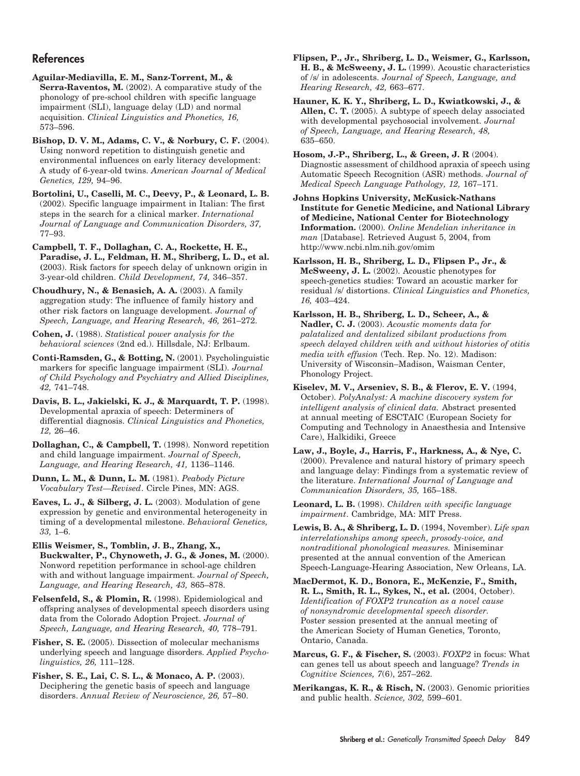#### **References**

- Aguilar-Mediavilla, E. M., Sanz-Torrent, M., & Serra-Raventos, M. (2002). A comparative study of the phonology of pre-school children with specific language impairment (SLI), language delay (LD) and normal acquisition. Clinical Linguistics and Phonetics, 16, 573–596.
- Bishop, D. V. M., Adams, C. V., & Norbury, C. F. (2004). Using nonword repetition to distinguish genetic and environmental influences on early literacy development: A study of 6-year-old twins. American Journal of Medical Genetics, 129, 94–96.
- Bortolini, U., Caselli, M. C., Deevy, P., & Leonard, L. B. (2002). Specific language impairment in Italian: The first steps in the search for a clinical marker. International Journal of Language and Communication Disorders, 37, 77–93.
- Campbell, T. F., Dollaghan, C. A., Rockette, H. E., Paradise, J. L., Feldman, H. M., Shriberg, L. D., et al. (2003). Risk factors for speech delay of unknown origin in 3-year-old children. Child Development, 74, 346–357.
- Choudhury, N., & Benasich, A. A. (2003). A family aggregation study: The influence of family history and other risk factors on language development. Journal of Speech, Language, and Hearing Research, 46, 261–272.
- Cohen, J. (1988). Statistical power analysis for the behavioral sciences (2nd ed.). Hillsdale, NJ: Erlbaum.
- Conti-Ramsden, G., & Botting, N. (2001). Psycholinguistic markers for specific language impairment (SLI). Journal of Child Psychology and Psychiatry and Allied Disciplines, 42, 741–748.
- Davis, B. L., Jakielski, K. J., & Marquardt, T. P. (1998). Developmental apraxia of speech: Determiners of differential diagnosis. Clinical Linguistics and Phonetics, 12, 26–46.
- Dollaghan, C., & Campbell, T. (1998). Nonword repetition and child language impairment. Journal of Speech, Language, and Hearing Research, 41, 1136–1146.
- Dunn, L. M., & Dunn, L. M. (1981). Peabody Picture Vocabulary Test—Revised. Circle Pines, MN: AGS.
- Eaves, L. J., & Silberg, J. L. (2003). Modulation of gene expression by genetic and environmental heterogeneity in timing of a developmental milestone. Behavioral Genetics, 33, 1–6.
- Ellis Weismer, S., Tomblin, J. B., Zhang, X., Buckwalter, P., Chynoweth, J. G., & Jones, M. (2000). Nonword repetition performance in school-age children with and without language impairment. Journal of Speech, Language, and Hearing Research, 43, 865–878.
- Felsenfeld, S., & Plomin, R. (1998). Epidemiological and offspring analyses of developmental speech disorders using data from the Colorado Adoption Project. Journal of Speech, Language, and Hearing Research, 40, 778–791.
- Fisher, S. E. (2005). Dissection of molecular mechanisms underlying speech and language disorders. Applied Psycholinguistics, 26, 111–128.
- Fisher, S. E., Lai, C. S. L., & Monaco, A. P. (2003). Deciphering the genetic basis of speech and language disorders. Annual Review of Neuroscience, 26, 57–80.

Flipsen, P., Jr., Shriberg, L. D., Weismer, G., Karlsson, H. B., & McSweeny, J. L. (1999). Acoustic characteristics of /s/ in adolescents. Journal of Speech, Language, and Hearing Research, 42, 663–677.

Hauner, K. K. Y., Shriberg, L. D., Kwiatkowski, J., & Allen, C. T. (2005). A subtype of speech delay associated with developmental psychosocial involvement. Journal of Speech, Language, and Hearing Research, 48, 635–650.

Hosom, J.-P., Shriberg, L., & Green, J. R (2004). Diagnostic assessment of childhood apraxia of speech using Automatic Speech Recognition (ASR) methods. Journal of Medical Speech Language Pathology, 12, 167–171.

Johns Hopkins University, McKusick-Nathans Institute for Genetic Medicine, and National Library of Medicine, National Center for Biotechnology Information. (2000). Online Mendelian inheritance in man [Database]. Retrieved August 5, 2004, from http://www.ncbi.nlm.nih.gov/omim

Karlsson, H. B., Shriberg, L. D., Flipsen P., Jr., & McSweeny, J. L. (2002). Acoustic phenotypes for speech-genetics studies: Toward an acoustic marker for residual /s/ distortions. Clinical Linguistics and Phonetics, 16, 403–424.

Karlsson, H. B., Shriberg, L. D., Scheer, A., & Nadler, C. J. (2003). Acoustic moments data for palatalized and dentalized sibilant productions from speech delayed children with and without histories of otitis media with effusion (Tech. Rep. No. 12). Madison: University of Wisconsin–Madison, Waisman Center, Phonology Project.

- Kiselev, M. V., Arseniev, S. B., & Flerov, E. V. (1994, October). PolyAnalyst: A machine discovery system for intelligent analysis of clinical data. Abstract presented at annual meeting of ESCTAIC (European Society for Computing and Technology in Anaesthesia and Intensive Care), Halkidiki, Greece
- Law, J., Boyle, J., Harris, F., Harkness, A., & Nye, C. (2000). Prevalence and natural history of primary speech and language delay: Findings from a systematic review of the literature. International Journal of Language and Communication Disorders, 35, 165–188.
- Leonard, L. B. (1998). Children with specific language impairment. Cambridge, MA: MIT Press.
- Lewis, B. A., & Shriberg, L. D. (1994, November). Life span interrelationships among speech, prosody-voice, and nontraditional phonological measures. Miniseminar presented at the annual convention of the American Speech-Language-Hearing Association, New Orleans, LA.
- MacDermot, K. D., Bonora, E., McKenzie, F., Smith, R. L., Smith, R. L., Sykes, N., et al. (2004, October). Identification of FOXP2 truncation as a novel cause of nonsyndromic developmental speech disorder. Poster session presented at the annual meeting of the American Society of Human Genetics, Toronto, Ontario, Canada.
- Marcus, G. F., & Fischer, S. (2003). FOXP2 in focus: What can genes tell us about speech and language? Trends in Cognitive Sciences, 7(6), 257–262.
- Merikangas, K. R., & Risch, N. (2003). Genomic priorities and public health. Science, 302, 599–601.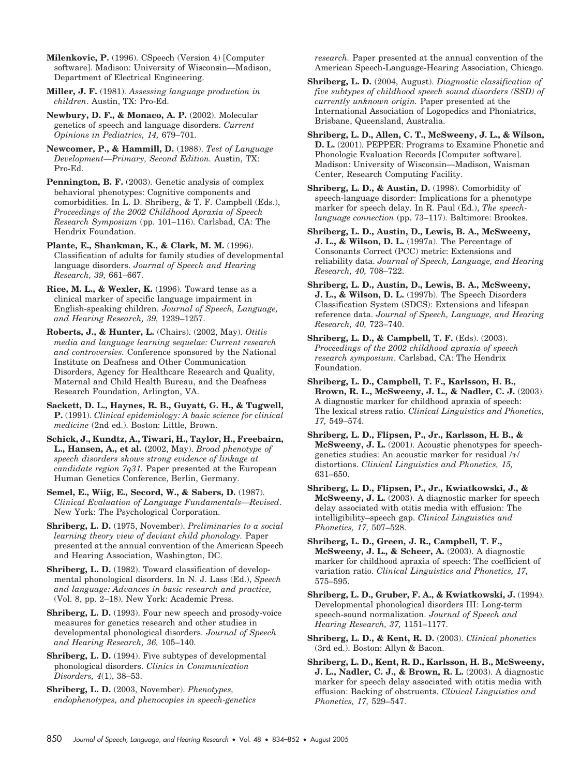Milenkovic, P. (1996). CSpeech (Version 4) [Computer software]. Madison: University of Wisconsin—Madison, Department of Electrical Engineering.

Miller, J. F. (1981). Assessing language production in children. Austin, TX: Pro-Ed.

Newbury, D. F., & Monaco, A. P. (2002). Molecular genetics of speech and language disorders. Current Opinions in Pediatrics, 14, 679–701.

Newcomer, P., & Hammill, D. (1988). Test of Language Development—Primary, Second Edition. Austin, TX: Pro-Ed.

Pennington, B. F. (2003). Genetic analysis of complex behavioral phenotypes: Cognitive components and comorbidities. In L. D. Shriberg, & T. F. Campbell (Eds.), Proceedings of the 2002 Childhood Apraxia of Speech Research Symposium (pp. 101–116). Carlsbad, CA: The Hendrix Foundation.

Plante, E., Shankman, K., & Clark, M. M. (1996). Classification of adults for family studies of developmental language disorders. Journal of Speech and Hearing Research, 39, 661–667.

Rice, M. L., & Wexler, K. (1996). Toward tense as a clinical marker of specific language impairment in English-speaking children. Journal of Speech, Language, and Hearing Research, 39, 1239–1257.

Roberts, J., & Hunter, L. (Chairs). (2002, May). Otitis media and language learning sequelae: Current research and controversies. Conference sponsored by the National Institute on Deafness and Other Communication Disorders, Agency for Healthcare Research and Quality, Maternal and Child Health Bureau, and the Deafness Research Foundation, Arlington, VA.

Sackett, D. L., Haynes, R. B., Guyatt, G. H., & Tugwell, **P.** (1991). Clinical epidemiology: A basic science for clinical medicine (2nd ed.). Boston: Little, Brown.

Schick, J., Kundtz, A., Tiwari, H., Taylor, H., Freebairn, L., Hansen, A., et al. (2002, May). Broad phenotype of speech disorders shows strong evidence of linkage at candidate region 7q31. Paper presented at the European Human Genetics Conference, Berlin, Germany.

Semel, E., Wiig, E., Secord, W., & Sabers, D. (1987). Clinical Evaluation of Language Fundamentals—Revised. New York: The Psychological Corporation.

Shriberg, L. D. (1975, November). Preliminaries to a social learning theory view of deviant child phonology. Paper presented at the annual convention of the American Speech and Hearing Association, Washington, DC.

Shriberg, L. D. (1982). Toward classification of developmental phonological disorders. In N. J. Lass (Ed.), Speech and language: Advances in basic research and practice, (Vol. 8, pp. 2–18). New York: Academic Press.

Shriberg, L. D. (1993). Four new speech and prosody-voice measures for genetics research and other studies in developmental phonological disorders. Journal of Speech and Hearing Research, 36, 105–140.

Shriberg, L. D. (1994). Five subtypes of developmental phonological disorders. Clinics in Communication Disorders, 4(1), 38–53.

Shriberg, L. D. (2003, November). Phenotypes, endophenotypes, and phenocopies in speech-genetics research. Paper presented at the annual convention of the American Speech-Language-Hearing Association, Chicago.

Shriberg, L. D. (2004, August). Diagnostic classification of five subtypes of childhood speech sound disorders (SSD) of currently unknown origin. Paper presented at the International Association of Logopedics and Phoniatrics, Brisbane, Queensland, Australia.

Shriberg, L. D., Allen, C. T., McSweeny, J. L., & Wilson, D. L. (2001). PEPPER: Programs to Examine Phonetic and Phonologic Evaluation Records [Computer software]. Madison: University of Wisconsin—Madison, Waisman Center, Research Computing Facility.

Shriberg, L. D., & Austin, D. (1998). Comorbidity of speech-language disorder: Implications for a phenotype marker for speech delay. In R. Paul (Ed.), The speechlanguage connection (pp. 73–117). Baltimore: Brookes.

Shriberg, L. D., Austin, D., Lewis, B. A., McSweeny, J. L., & Wilson, D. L. (1997a). The Percentage of Consonants Correct (PCC) metric: Extensions and reliability data. Journal of Speech, Language, and Hearing Research, 40, 708–722.

Shriberg, L. D., Austin, D., Lewis, B. A., McSweeny, J. L., & Wilson, D. L. (1997b). The Speech Disorders Classification System (SDCS): Extensions and lifespan reference data. Journal of Speech, Language, and Hearing Research, 40, 723–740.

Shriberg, L. D., & Campbell, T. F. (Eds). (2003). Proceedings of the 2002 childhood apraxia of speech research symposium. Carlsbad, CA: The Hendrix Foundation.

Shriberg, L. D., Campbell, T. F., Karlsson, H. B., Brown, R. L., McSweeny, J. L., & Nadler, C. J. (2003). A diagnostic marker for childhood apraxia of speech: The lexical stress ratio. Clinical Linguistics and Phonetics, 17, 549–574.

Shriberg, L. D., Flipsen, P., Jr., Karlsson, H. B., & McSweeny, J. L. (2001). Acoustic phenotypes for speechgenetics studies: An acoustic marker for residual /3/ distortions. Clinical Linguistics and Phonetics, 15, 631–650.

Shriberg, L. D., Flipsen, P., Jr., Kwiatkowski, J., & McSweeny, J. L. (2003). A diagnostic marker for speech delay associated with otitis media with effusion: The intelligibility–speech gap. Clinical Linguistics and Phonetics, 17, 507–528.

Shriberg, L. D., Green, J. R., Campbell, T. F., McSweeny, J. L., & Scheer, A. (2003). A diagnostic marker for childhood apraxia of speech: The coefficient of variation ratio. Clinical Linguistics and Phonetics, 17, 575–595.

Shriberg, L. D., Gruber, F. A., & Kwiatkowski, J. (1994). Developmental phonological disorders III: Long-term speech-sound normalization. Journal of Speech and Hearing Research, 37, 1151–1177.

Shriberg, L. D., & Kent, R. D. (2003). Clinical phonetics (3rd ed.). Boston: Allyn & Bacon.

Shriberg, L. D., Kent, R. D., Karlsson, H. B., McSweeny, J. L., Nadler, C. J., & Brown, R. L. (2003). A diagnostic marker for speech delay associated with otitis media with effusion: Backing of obstruents. Clinical Linguistics and Phonetics, 17, 529–547.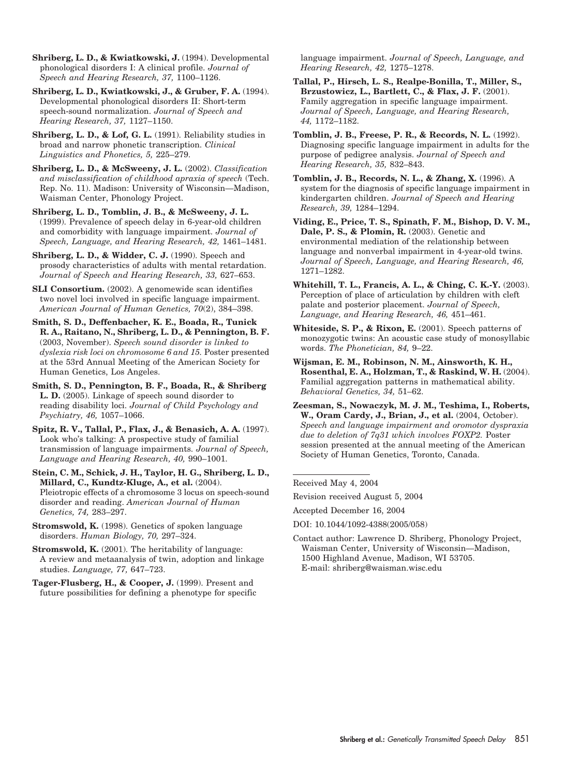Shriberg, L. D., & Kwiatkowski, J. (1994). Developmental phonological disorders I: A clinical profile. Journal of Speech and Hearing Research, 37, 1100–1126.

Shriberg, L. D., Kwiatkowski, J., & Gruber, F. A. (1994). Developmental phonological disorders II: Short-term speech-sound normalization. Journal of Speech and Hearing Research, 37, 1127–1150.

Shriberg, L. D., & Lof, G. L. (1991). Reliability studies in broad and narrow phonetic transcription. Clinical Linguistics and Phonetics, 5, 225–279.

Shriberg, L. D., & McSweeny, J. L. (2002). Classification and misclassification of childhood apraxia of speech (Tech. Rep. No. 11). Madison: University of Wisconsin—Madison, Waisman Center, Phonology Project.

Shriberg, L. D., Tomblin, J. B., & McSweeny, J. L. (1999). Prevalence of speech delay in 6-year-old children and comorbidity with language impairment. Journal of Speech, Language, and Hearing Research, 42, 1461–1481.

Shriberg, L. D., & Widder, C. J. (1990). Speech and prosody characteristics of adults with mental retardation. Journal of Speech and Hearing Research, 33, 627–653.

SLI Consortium. (2002). A genomewide scan identifies two novel loci involved in specific language impairment. American Journal of Human Genetics, 70(2), 384–398.

Smith, S. D., Deffenbacher, K. E., Boada, R., Tunick R. A., Raitano, N., Shriberg, L. D., & Pennington, B. F. (2003, November). Speech sound disorder is linked to dyslexia risk loci on chromosome 6 and 15. Poster presented at the 53rd Annual Meeting of the American Society for Human Genetics, Los Angeles.

Smith, S. D., Pennington, B. F., Boada, R., & Shriberg L. D. (2005). Linkage of speech sound disorder to reading disability loci. Journal of Child Psychology and Psychiatry, 46, 1057–1066.

Spitz, R. V., Tallal, P., Flax, J., & Benasich, A. A. (1997). Look who's talking: A prospective study of familial transmission of language impairments. Journal of Speech, Language and Hearing Research, 40, 990–1001.

Stein, C. M., Schick, J. H., Taylor, H. G., Shriberg, L. D., Millard, C., Kundtz-Kluge, A., et al. (2004). Pleiotropic effects of a chromosome 3 locus on speech-sound disorder and reading. American Journal of Human Genetics, 74, 283–297.

Stromswold, K. (1998). Genetics of spoken language disorders. Human Biology, 70, 297–324.

Stromswold, K. (2001). The heritability of language: A review and metaanalysis of twin, adoption and linkage studies. Language, 77, 647–723.

Tager-Flusberg, H., & Cooper, J. (1999). Present and future possibilities for defining a phenotype for specific language impairment. Journal of Speech, Language, and Hearing Research, 42, 1275–1278.

Tallal, P., Hirsch, L. S., Realpe-Bonilla, T., Miller, S., Brzustowicz, L., Bartlett, C., & Flax, J. F. (2001). Family aggregation in specific language impairment. Journal of Speech, Language, and Hearing Research, 44, 1172–1182.

Tomblin, J. B., Freese, P. R., & Records, N. L. (1992). Diagnosing specific language impairment in adults for the purpose of pedigree analysis. Journal of Speech and Hearing Research, 35, 832–843.

Tomblin, J. B., Records, N. L., & Zhang, X. (1996). A system for the diagnosis of specific language impairment in kindergarten children. Journal of Speech and Hearing Research, 39, 1284–1294.

Viding, E., Price, T. S., Spinath, F. M., Bishop, D. V. M., Dale, P. S., & Plomin, R. (2003). Genetic and environmental mediation of the relationship between language and nonverbal impairment in 4-year-old twins. Journal of Speech, Language, and Hearing Research, 46, 1271–1282.

Whitehill, T. L., Francis, A. L., & Ching, C. K.-Y. (2003). Perception of place of articulation by children with cleft palate and posterior placement. Journal of Speech, Language, and Hearing Research, 46, 451–461.

Whiteside, S. P., & Rixon, E. (2001). Speech patterns of monozygotic twins: An acoustic case study of monosyllabic words. The Phonetician, 84, 9–22.

Wijsman, E. M., Robinson, N. M., Ainsworth, K. H., Rosenthal, E. A., Holzman, T., & Raskind, W. H. (2004). Familial aggregation patterns in mathematical ability. Behavioral Genetics, 34, 51–62.

Zeesman, S., Nowaczyk, M. J. M., Teshima, I., Roberts, W., Oram Cardy, J., Brian, J., et al. (2004, October). Speech and language impairment and oromotor dyspraxia due to deletion of 7q31 which involves FOXP2. Poster session presented at the annual meeting of the American Society of Human Genetics, Toronto, Canada.

Received May 4, 2004

Revision received August 5, 2004

Accepted December 16, 2004

DOI: 10.1044/1092-4388(2005/058)

Contact author: Lawrence D. Shriberg, Phonology Project, Waisman Center, University of Wisconsin—Madison, 1500 Highland Avenue, Madison, WI 53705. E-mail: shriberg@waisman.wisc.edu